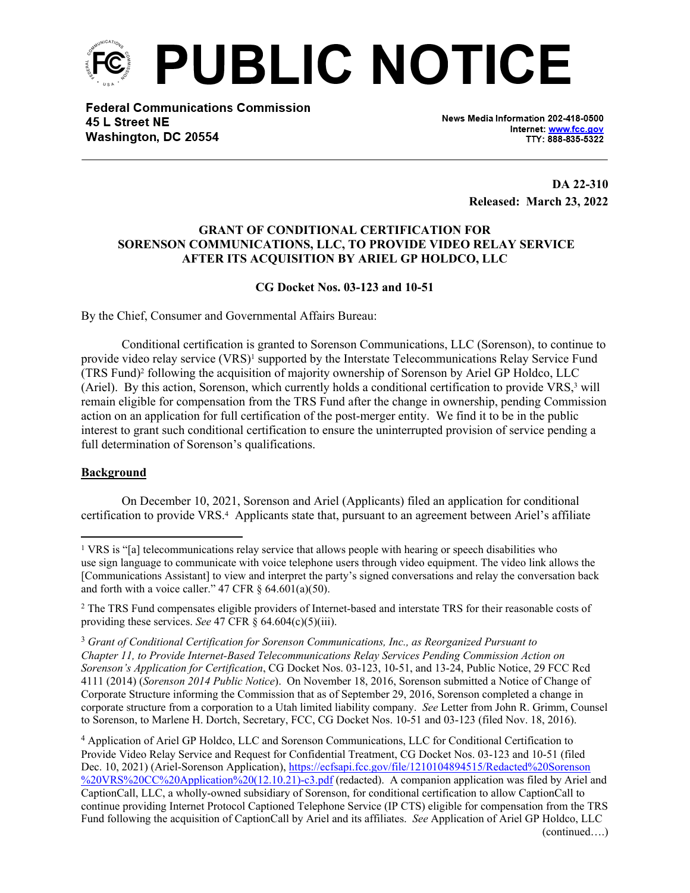

**Federal Communications Commission** 45 L Street NE Washington, DC 20554

News Media Information 202-418-0500 Internet: www.fcc.gov TTY: 888-835-5322

> **DA 22-310 Released: March 23, 2022**

## **GRANT OF CONDITIONAL CERTIFICATION FOR SORENSON COMMUNICATIONS, LLC, TO PROVIDE VIDEO RELAY SERVICE AFTER ITS ACQUISITION BY ARIEL GP HOLDCO, LLC**

## **CG Docket Nos. 03-123 and 10-51**

By the Chief, Consumer and Governmental Affairs Bureau:

Conditional certification is granted to Sorenson Communications, LLC (Sorenson), to continue to provide video relay service (VRS)<sup>1</sup> supported by the Interstate Telecommunications Relay Service Fund (TRS Fund)<sup>2</sup> following the acquisition of majority ownership of Sorenson by Ariel GP Holdco, LLC (Ariel). By this action, Sorenson, which currently holds a conditional certification to provide VRS,<sup>3</sup> will remain eligible for compensation from the TRS Fund after the change in ownership, pending Commission action on an application for full certification of the post-merger entity. We find it to be in the public interest to grant such conditional certification to ensure the uninterrupted provision of service pending a full determination of Sorenson's qualifications.

## **Background**

On December 10, 2021, Sorenson and Ariel (Applicants) filed an application for conditional certification to provide VRS.<sup>4</sup> Applicants state that, pursuant to an agreement between Ariel's affiliate

<sup>2</sup> The TRS Fund compensates eligible providers of Internet-based and interstate TRS for their reasonable costs of providing these services. *See* 47 CFR  $\hat{\S}$  64.604(c)(5)(iii).

<sup>3</sup> *Grant of Conditional Certification for Sorenson Communications, Inc., as Reorganized Pursuant to Chapter 11, to Provide Internet-Based Telecommunications Relay Services Pending Commission Action on Sorenson's Application for Certification*, CG Docket Nos. 03-123, 10-51, and 13-24, Public Notice, 29 FCC Rcd 4111 (2014) (*Sorenson 2014 Public Notice*). On November 18, 2016, Sorenson submitted a Notice of Change of Corporate Structure informing the Commission that as of September 29, 2016, Sorenson completed a change in corporate structure from a corporation to a Utah limited liability company. *See* Letter from John R. Grimm, Counsel to Sorenson, to Marlene H. Dortch, Secretary, FCC, CG Docket Nos. 10-51 and 03-123 (filed Nov. 18, 2016).

4 Application of Ariel GP Holdco, LLC and Sorenson Communications, LLC for Conditional Certification to Provide Video Relay Service and Request for Confidential Treatment, CG Docket Nos. 03-123 and 10-51 (filed Dec. 10, 2021) (Ariel-Sorenson Application), [https://ecfsapi.fcc.gov/file/1210104894515/Redacted%20Sorenson](https://ecfsapi.fcc.gov/file/1210104894515/Redacted%20Sorenson%20VRS%20CC%20Application%20(12.10.21)-c3.pdf) [%20VRS%20CC%20Application%20\(12.10.21\)-c3.pdf](https://ecfsapi.fcc.gov/file/1210104894515/Redacted%20Sorenson%20VRS%20CC%20Application%20(12.10.21)-c3.pdf) (redacted). A companion application was filed by Ariel and CaptionCall, LLC, a wholly-owned subsidiary of Sorenson, for conditional certification to allow CaptionCall to continue providing Internet Protocol Captioned Telephone Service (IP CTS) eligible for compensation from the TRS Fund following the acquisition of CaptionCall by Ariel and its affiliates. *See* Application of Ariel GP Holdco, LLC (continued….)

<sup>&</sup>lt;sup>1</sup> VRS is "[a] telecommunications relay service that allows people with hearing or speech disabilities who use sign language to communicate with voice telephone users through video equipment. The video link allows the [Communications Assistant] to view and interpret the party's signed conversations and relay the conversation back and forth with a voice caller."  $47 \text{ CFR } \S$  64.601(a)(50).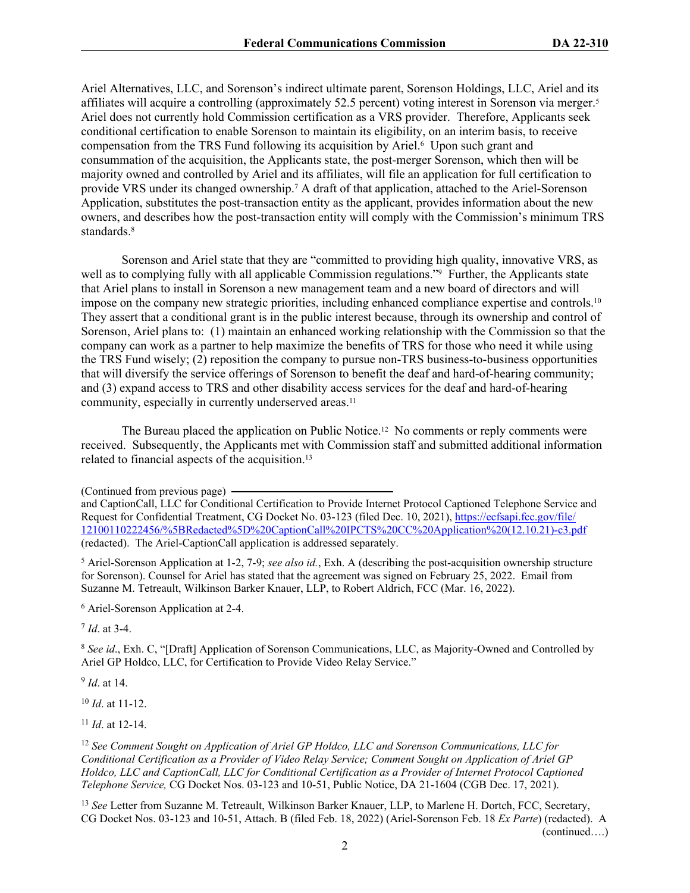Ariel Alternatives, LLC, and Sorenson's indirect ultimate parent, Sorenson Holdings, LLC, Ariel and its affiliates will acquire a controlling (approximately 52.5 percent) voting interest in Sorenson via merger.<sup>5</sup> Ariel does not currently hold Commission certification as a VRS provider. Therefore, Applicants seek conditional certification to enable Sorenson to maintain its eligibility, on an interim basis, to receive compensation from the TRS Fund following its acquisition by Ariel.<sup>6</sup> Upon such grant and consummation of the acquisition, the Applicants state, the post-merger Sorenson, which then will be majority owned and controlled by Ariel and its affiliates, will file an application for full certification to provide VRS under its changed ownership.<sup>7</sup> A draft of that application, attached to the Ariel-Sorenson Application, substitutes the post-transaction entity as the applicant, provides information about the new owners, and describes how the post-transaction entity will comply with the Commission's minimum TRS standards.<sup>8</sup>

Sorenson and Ariel state that they are "committed to providing high quality, innovative VRS, as well as to complying fully with all applicable Commission regulations."<sup>9</sup> Further, the Applicants state that Ariel plans to install in Sorenson a new management team and a new board of directors and will impose on the company new strategic priorities, including enhanced compliance expertise and controls.<sup>10</sup> They assert that a conditional grant is in the public interest because, through its ownership and control of Sorenson, Ariel plans to: (1) maintain an enhanced working relationship with the Commission so that the company can work as a partner to help maximize the benefits of TRS for those who need it while using the TRS Fund wisely; (2) reposition the company to pursue non-TRS business-to-business opportunities that will diversify the service offerings of Sorenson to benefit the deaf and hard-of-hearing community; and (3) expand access to TRS and other disability access services for the deaf and hard-of-hearing community, especially in currently underserved areas.<sup>11</sup>

The Bureau placed the application on Public Notice.12 No comments or reply comments were received. Subsequently, the Applicants met with Commission staff and submitted additional information related to financial aspects of the acquisition.<sup>13</sup>

5 Ariel-Sorenson Application at 1-2, 7-9; *see also id.*, Exh. A (describing the post-acquisition ownership structure for Sorenson). Counsel for Ariel has stated that the agreement was signed on February 25, 2022. Email from Suzanne M. Tetreault, Wilkinson Barker Knauer, LLP, to Robert Aldrich, FCC (Mar. 16, 2022).

6 Ariel-Sorenson Application at 2-4.

7 *Id*. at 3-4.

<sup>8</sup> *See id*., Exh. C, "[Draft] Application of Sorenson Communications, LLC, as Majority-Owned and Controlled by Ariel GP Holdco, LLC, for Certification to Provide Video Relay Service."

9 *Id*. at 14.

<sup>10</sup> *Id*. at 11-12.

<sup>11</sup> *Id*. at 12-14.

<sup>12</sup> *See Comment Sought on Application of Ariel GP Holdco, LLC and Sorenson Communications, LLC for Conditional Certification as a Provider of Video Relay Service; Comment Sought on Application of Ariel GP Holdco, LLC and CaptionCall, LLC for Conditional Certification as a Provider of Internet Protocol Captioned Telephone Service,* CG Docket Nos. 03-123 and 10-51, Public Notice, DA 21-1604 (CGB Dec. 17, 2021).

<sup>13</sup> *See* Letter from Suzanne M. Tetreault, Wilkinson Barker Knauer, LLP, to Marlene H. Dortch, FCC, Secretary, CG Docket Nos. 03-123 and 10-51, Attach. B (filed Feb. 18, 2022) (Ariel-Sorenson Feb. 18 *Ex Parte*) (redacted). A

(continued….)

<sup>(</sup>Continued from previous page)

and CaptionCall, LLC for Conditional Certification to Provide Internet Protocol Captioned Telephone Service and Request for Confidential Treatment, CG Docket No. 03-123 (filed Dec. 10, 2021), [https://ecfsapi.fcc.gov/file/](https://ecfsapi.fcc.gov/file/12100110222456/%5BRedacted%5D%20CaptionCall%20IPCTS%20CC%20Application%20(12.10.21)-c3.pdf) [12100110222456/%5BRedacted%5D%20CaptionCall%20IPCTS%20CC%20Application%20\(12.10.21\)-c3.pdf](https://ecfsapi.fcc.gov/file/12100110222456/%5BRedacted%5D%20CaptionCall%20IPCTS%20CC%20Application%20(12.10.21)-c3.pdf) (redacted). The Ariel-CaptionCall application is addressed separately.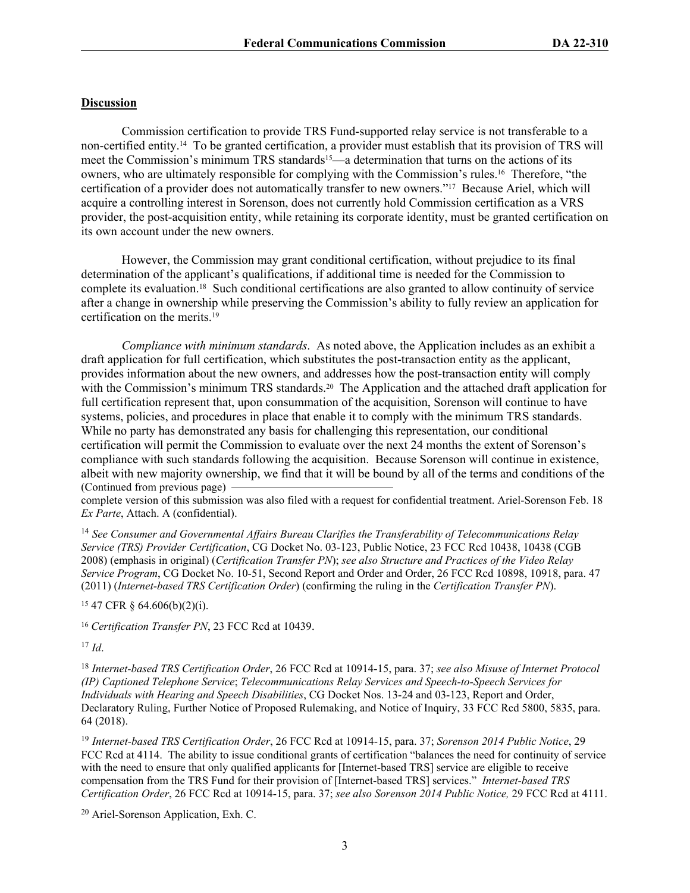## **Discussion**

Commission certification to provide TRS Fund-supported relay service is not transferable to a non-certified entity.14 To be granted certification, a provider must establish that its provision of TRS will meet the Commission's minimum TRS standards<sup>15</sup>—a determination that turns on the actions of its owners, who are ultimately responsible for complying with the Commission's rules.16 Therefore, "the certification of a provider does not automatically transfer to new owners."17 Because Ariel, which will acquire a controlling interest in Sorenson, does not currently hold Commission certification as a VRS provider, the post-acquisition entity, while retaining its corporate identity, must be granted certification on its own account under the new owners.

However, the Commission may grant conditional certification, without prejudice to its final determination of the applicant's qualifications, if additional time is needed for the Commission to complete its evaluation.18 Such conditional certifications are also granted to allow continuity of service after a change in ownership while preserving the Commission's ability to fully review an application for certification on the merits.<sup>19</sup>

*Compliance with minimum standards*. As noted above, the Application includes as an exhibit a draft application for full certification, which substitutes the post-transaction entity as the applicant, provides information about the new owners, and addresses how the post-transaction entity will comply with the Commission's minimum TRS standards.<sup>20</sup> The Application and the attached draft application for full certification represent that, upon consummation of the acquisition, Sorenson will continue to have systems, policies, and procedures in place that enable it to comply with the minimum TRS standards. While no party has demonstrated any basis for challenging this representation, our conditional certification will permit the Commission to evaluate over the next 24 months the extent of Sorenson's compliance with such standards following the acquisition. Because Sorenson will continue in existence, albeit with new majority ownership, we find that it will be bound by all of the terms and conditions of the (Continued from previous page)

complete version of this submission was also filed with a request for confidential treatment. Ariel-Sorenson Feb. 18 *Ex Parte*, Attach. A (confidential).

<sup>14</sup> *See Consumer and Governmental Affairs Bureau Clarifies the Transferability of Telecommunications Relay Service (TRS) Provider Certification*, CG Docket No. 03-123, Public Notice, 23 FCC Rcd 10438, 10438 (CGB 2008) (emphasis in original) (*Certification Transfer PN*); *see also Structure and Practices of the Video Relay Service Program*, CG Docket No. 10-51, Second Report and Order and Order, 26 FCC Rcd 10898, 10918, para. 47 (2011) (*Internet-based TRS Certification Order*) (confirming the ruling in the *Certification Transfer PN*).

<sup>15</sup> 47 CFR § 64.606(b)(2)(i).

<sup>16</sup> *Certification Transfer PN*, 23 FCC Rcd at 10439.

 $17$  *Id.* 

<sup>18</sup> *Internet-based TRS Certification Order*, 26 FCC Rcd at 10914-15, para. 37; *see also Misuse of Internet Protocol (IP) Captioned Telephone Service*; *Telecommunications Relay Services and Speech-to-Speech Services for Individuals with Hearing and Speech Disabilities*, CG Docket Nos. 13-24 and 03-123, Report and Order, Declaratory Ruling, Further Notice of Proposed Rulemaking, and Notice of Inquiry, 33 FCC Rcd 5800, 5835, para. 64 (2018).

<sup>19</sup> *Internet-based TRS Certification Order*, 26 FCC Rcd at 10914-15, para. 37; *Sorenson 2014 Public Notice*, 29 FCC Rcd at 4114. The ability to issue conditional grants of certification "balances the need for continuity of service with the need to ensure that only qualified applicants for [Internet-based TRS] service are eligible to receive compensation from the TRS Fund for their provision of [Internet-based TRS] services." *Internet-based TRS Certification Order*, 26 FCC Rcd at 10914-15, para. 37; *see also Sorenson 2014 Public Notice,* 29 FCC Rcd at 4111.

20 Ariel-Sorenson Application, Exh. C.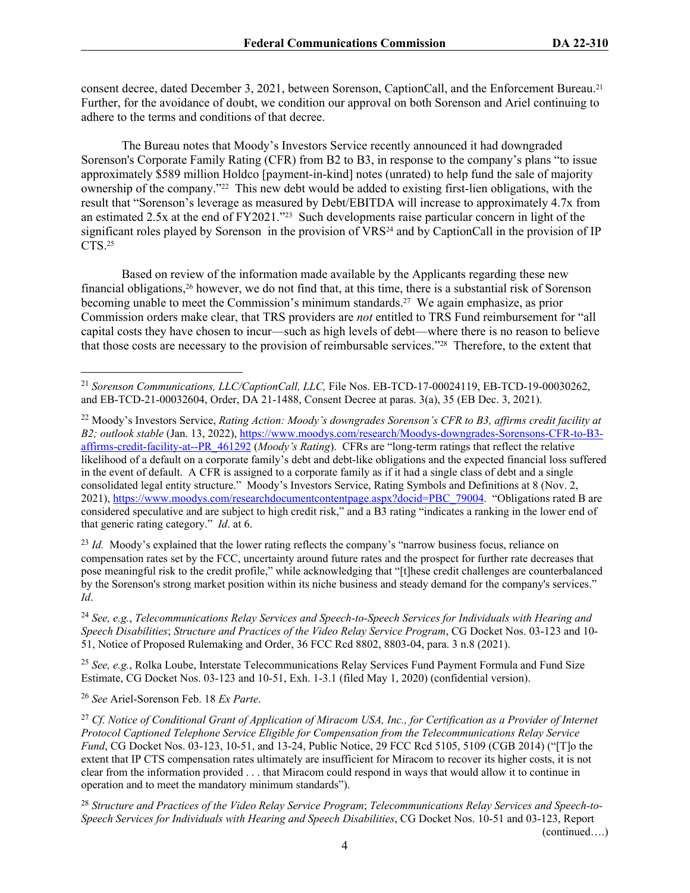consent decree, dated December 3, 2021, between Sorenson, CaptionCall, and the Enforcement Bureau.<sup>21</sup> Further, for the avoidance of doubt, we condition our approval on both Sorenson and Ariel continuing to adhere to the terms and conditions of that decree.

The Bureau notes that Moody's Investors Service recently announced it had downgraded Sorenson's Corporate Family Rating (CFR) from B2 to B3, in response to the company's plans "to issue approximately \$589 million Holdco [payment-in-kind] notes (unrated) to help fund the sale of majority ownership of the company."22 This new debt would be added to existing first-lien obligations, with the result that "Sorenson's leverage as measured by Debt/EBITDA will increase to approximately 4.7x from an estimated 2.5x at the end of FY2021."23 Such developments raise particular concern in light of the significant roles played by Sorenson in the provision of  $VRS<sup>24</sup>$  and by CaptionCall in the provision of IP CTS.<sup>25</sup>

Based on review of the information made available by the Applicants regarding these new financial obligations,26 however, we do not find that, at this time, there is a substantial risk of Sorenson becoming unable to meet the Commission's minimum standards.27 We again emphasize, as prior Commission orders make clear, that TRS providers are *not* entitled to TRS Fund reimbursement for "all capital costs they have chosen to incur—such as high levels of debt—where there is no reason to believe that those costs are necessary to the provision of reimbursable services."28 Therefore, to the extent that

<sup>22</sup> Moody's Investors Service, *Rating Action: Moody's downgrades Sorenson's CFR to B3, affirms credit facility at B2; outlook stable* (Jan. 13, 2022), [https://www.moodys.com/research/Moodys-downgrades-Sorensons-CFR-to-B3](https://www.moodys.com/research/Moodys-downgrades-Sorensons-CFR-to-B3-affirms-credit-facility-at--PR_461292) [affirms-credit-facility-at--PR\\_461292](https://www.moodys.com/research/Moodys-downgrades-Sorensons-CFR-to-B3-affirms-credit-facility-at--PR_461292) (*Moody's Rating*). CFRs are "long-term ratings that reflect the relative likelihood of a default on a corporate family's debt and debt-like obligations and the expected financial loss suffered in the event of default. A CFR is assigned to a corporate family as if it had a single class of debt and a single consolidated legal entity structure." Moody's Investors Service, Rating Symbols and Definitions at 8 (Nov. 2, 2021), [https://www.moodys.com/researchdocumentcontentpage.aspx?docid=PBC\\_79004.](https://www.moodys.com/researchdocumentcontentpage.aspx?docid=PBC_79004) "Obligations rated B are considered speculative and are subject to high credit risk," and a B3 rating "indicates a ranking in the lower end of that generic rating category." *Id*. at 6.

<sup>23</sup> *Id.* Moody's explained that the lower rating reflects the company's "narrow business focus, reliance on compensation rates set by the FCC, uncertainty around future rates and the prospect for further rate decreases that pose meaningful risk to the credit profile," while acknowledging that "[t]hese credit challenges are counterbalanced by the Sorenson's strong market position within its niche business and steady demand for the company's services." *Id*.

<sup>24</sup> *See, e.g.*, *Telecommunications Relay Services and Speech-to-Speech Services for Individuals with Hearing and Speech Disabilities*; *Structure and Practices of the Video Relay Service Program*, CG Docket Nos. 03-123 and 10- 51, Notice of Proposed Rulemaking and Order, 36 FCC Rcd 8802, 8803-04, para. 3 n.8 (2021).

<sup>25</sup> *See, e.g.*, Rolka Loube, Interstate Telecommunications Relay Services Fund Payment Formula and Fund Size Estimate, CG Docket Nos. 03-123 and 10-51, Exh. 1-3.1 (filed May 1, 2020) (confidential version).

<sup>26</sup> *See* Ariel-Sorenson Feb. 18 *Ex Parte*.

<sup>27</sup> *Cf. Notice of Conditional Grant of Application of Miracom USA, Inc., for Certification as a Provider of Internet Protocol Captioned Telephone Service Eligible for Compensation from the Telecommunications Relay Service Fund*, CG Docket Nos. 03-123, 10-51, and 13-24, Public Notice, 29 FCC Rcd 5105, 5109 (CGB 2014) ("[T]o the extent that IP CTS compensation rates ultimately are insufficient for Miracom to recover its higher costs, it is not clear from the information provided . . . that Miracom could respond in ways that would allow it to continue in operation and to meet the mandatory minimum standards").

<sup>28</sup> *Structure and Practices of the Video Relay Service Program*; *Telecommunications Relay Services and Speech-to-Speech Services for Individuals with Hearing and Speech Disabilities*, CG Docket Nos. 10-51 and 03-123, Report

(continued….)

<sup>21</sup> *Sorenson Communications, LLC/CaptionCall, LLC,* File Nos. EB-TCD-17-00024119, EB-TCD-19-00030262, and EB-TCD-21-00032604, Order, DA 21-1488, Consent Decree at paras. 3(a), 35 (EB Dec. 3, 2021).